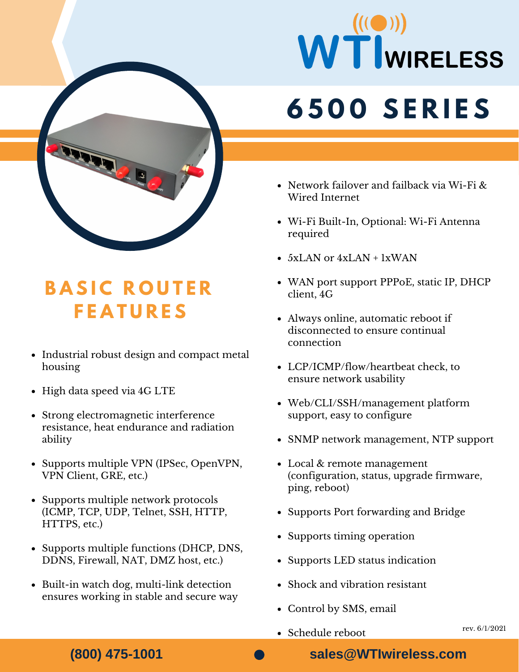

## **B A S I C R O U T E R F E A T U R E S**

- Industrial robust design and compact metal housing
- High data speed via 4G LTE
- Strong electromagnetic interference resistance, heat endurance and radiation ability
- Supports multiple VPN (IPSec, OpenVPN, VPN Client, GRE, etc.)
- Supports multiple network protocols (ICMP, TCP, UDP, Telnet, SSH, HTTP, HTTPS, etc.)
- Supports multiple functions (DHCP, DNS, DDNS, Firewall, NAT, DMZ host, etc.)
- Built-in watch dog, multi-link detection ensures working in stable and secure way

# WTWIRELESS **6 5 0 0 S E R I E S**

- Network failover and failback via Wi-Fi & Wired Internet
- Wi-Fi Built-In, Optional: Wi-Fi Antenna required
- $\bullet$  5xLAN or 4xLAN + 1xWAN
- WAN port support PPPoE, static IP, DHCP client, 4G
- Always online, automatic reboot if disconnected to ensure continual connection
	- retal<br>• LCP/ICMP/flow/heartbeat check, to ensure network usability
	- $\bullet$  Web/ $\bullet$  **Web** Web/CLI/SSH/management platform support, easy to configure
		- SNMP network management, NTP support
		- Local & remote management (configuration, status, upgrade firmware, ping, reboot)
		- Supports Port forwarding and Bridge
		- Supports timing operation
		- Supports LED status indication
		- Shock and vibration resistant
		- Control by SMS, email
		- Schedule reboot

**(800) 475-1001**

**sales@WTIwireless.com**